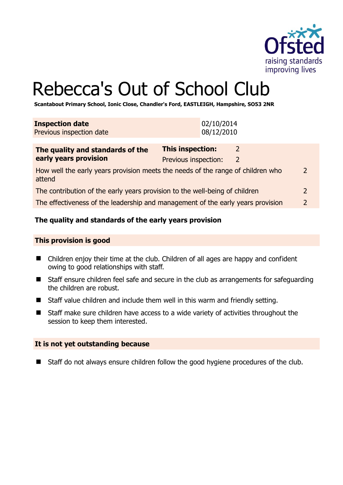

# Rebecca's Out of School Club

**Scantabout Primary School, Ionic Close, Chandler's Ford, EASTLEIGH, Hampshire, SO53 2NR** 

| <b>Inspection date</b><br>Previous inspection date                                                         | 02/10/2014<br>08/12/2010                                               |  |
|------------------------------------------------------------------------------------------------------------|------------------------------------------------------------------------|--|
| The quality and standards of the<br>early years provision                                                  | <b>This inspection:</b><br>2<br>Previous inspection:<br>$\overline{2}$ |  |
| How well the early years provision meets the needs of the range of children who<br>$\mathcal{P}$<br>attend |                                                                        |  |
| The contribution of the early years provision to the well-being of children                                |                                                                        |  |
| The effectiveness of the leadership and management of the early years provision                            |                                                                        |  |

# **The quality and standards of the early years provision**

#### **This provision is good**

- Children enjoy their time at the club. Children of all ages are happy and confident owing to good relationships with staff.
- Staff ensure children feel safe and secure in the club as arrangements for safeguarding the children are robust.
- Staff value children and include them well in this warm and friendly setting.
- Staff make sure children have access to a wide variety of activities throughout the session to keep them interested.

#### **It is not yet outstanding because**

■ Staff do not always ensure children follow the good hygiene procedures of the club.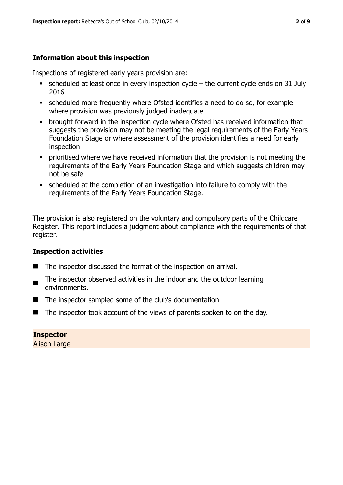# **Information about this inspection**

Inspections of registered early years provision are:

- $\blacksquare$  scheduled at least once in every inspection cycle the current cycle ends on 31 July 2016
- scheduled more frequently where Ofsted identifies a need to do so, for example where provision was previously judged inadequate
- **•** brought forward in the inspection cycle where Ofsted has received information that suggests the provision may not be meeting the legal requirements of the Early Years Foundation Stage or where assessment of the provision identifies a need for early inspection
- **•** prioritised where we have received information that the provision is not meeting the requirements of the Early Years Foundation Stage and which suggests children may not be safe
- scheduled at the completion of an investigation into failure to comply with the requirements of the Early Years Foundation Stage.

The provision is also registered on the voluntary and compulsory parts of the Childcare Register. This report includes a judgment about compliance with the requirements of that register.

# **Inspection activities**

- The inspector discussed the format of the inspection on arrival.
- The inspector observed activities in the indoor and the outdoor learning environments.
- The inspector sampled some of the club's documentation.
- $\blacksquare$  The inspector took account of the views of parents spoken to on the day.

# **Inspector**

Alison Large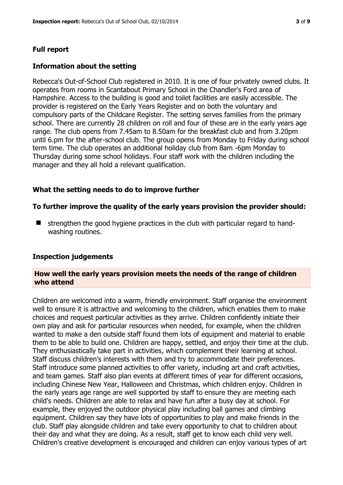# **Full report**

# **Information about the setting**

Rebecca's Out-of-School Club registered in 2010. It is one of four privately owned clubs. It operates from rooms in Scantabout Primary School in the Chandler's Ford area of Hampshire. Access to the building is good and toilet facilities are easily accessible. The provider is registered on the Early Years Register and on both the voluntary and compulsory parts of the Childcare Register. The setting serves families from the primary school. There are currently 28 children on roll and four of these are in the early years age range. The club opens from 7.45am to 8.50am for the breakfast club and from 3.20pm until 6.pm for the after-school club. The group opens from Monday to Friday during school term time. The club operates an additional holiday club from 8am -6pm Monday to Thursday during some school holidays. Four staff work with the children including the manager and they all hold a relevant qualification.

# **What the setting needs to do to improve further**

#### **To further improve the quality of the early years provision the provider should:**

■ strengthen the good hygiene practices in the club with particular regard to handwashing routines.

#### **Inspection judgements**

#### **How well the early years provision meets the needs of the range of children who attend**

Children are welcomed into a warm, friendly environment. Staff organise the environment well to ensure it is attractive and welcoming to the children, which enables them to make choices and request particular activities as they arrive. Children confidently initiate their own play and ask for particular resources when needed, for example, when the children wanted to make a den outside staff found them lots of equipment and material to enable them to be able to build one. Children are happy, settled, and enjoy their time at the club. They enthusiastically take part in activities, which complement their learning at school. Staff discuss children's interests with them and try to accommodate their preferences. Staff introduce some planned activities to offer variety, including art and craft activities, and team games. Staff also plan events at different times of year for different occasions, including Chinese New Year, Halloween and Christmas, which children enjoy. Children in the early years age range are well supported by staff to ensure they are meeting each child's needs. Children are able to relax and have fun after a busy day at school. For example, they enjoyed the outdoor physical play including ball games and climbing equipment. Children say they have lots of opportunities to play and make friends in the club. Staff play alongside children and take every opportunity to chat to children about their day and what they are doing. As a result, staff get to know each child very well. Children's creative development is encouraged and children can enjoy various types of art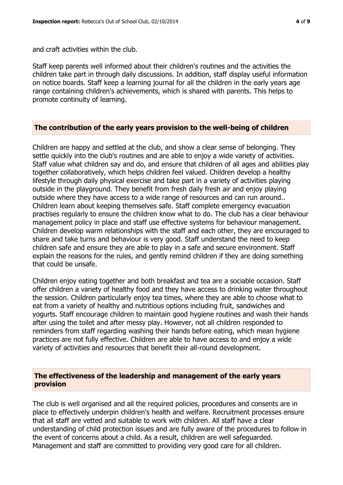and craft activities within the club.

Staff keep parents well informed about their children's routines and the activities the children take part in through daily discussions. In addition, staff display useful information on notice boards. Staff keep a learning journal for all the children in the early years age range containing children's achievements, which is shared with parents. This helps to promote continuity of learning.

#### **The contribution of the early years provision to the well-being of children**

Children are happy and settled at the club, and show a clear sense of belonging. They settle quickly into the club's routines and are able to enjoy a wide variety of activities. Staff value what children say and do, and ensure that children of all ages and abilities play together collaboratively, which helps children feel valued. Children develop a healthy lifestyle through daily physical exercise and take part in a variety of activities playing outside in the playground. They benefit from fresh daily fresh air and enjoy playing outside where they have access to a wide range of resources and can run around.. Children learn about keeping themselves safe. Staff complete emergency evacuation practises regularly to ensure the children know what to do. The club has a clear behaviour management policy in place and staff use effective systems for behaviour management. Children develop warm relationships with the staff and each other, they are encouraged to share and take turns and behaviour is very good. Staff understand the need to keep children safe and ensure they are able to play in a safe and secure environment. Staff explain the reasons for the rules, and gently remind children if they are doing something that could be unsafe.

Children enjoy eating together and both breakfast and tea are a sociable occasion. Staff offer children a variety of healthy food and they have access to drinking water throughout the session. Children particularly enjoy tea times, where they are able to choose what to eat from a variety of healthy and nutritious options including fruit, sandwiches and yogurts. Staff encourage children to maintain good hygiene routines and wash their hands after using the toilet and after messy play. However, not all children responded to reminders from staff regarding washing their hands before eating, which mean hygiene practices are not fully effective. Children are able to have access to and enjoy a wide variety of activities and resources that benefit their all-round development.

# **The effectiveness of the leadership and management of the early years provision**

The club is well organised and all the required policies, procedures and consents are in place to effectively underpin children's health and welfare. Recruitment processes ensure that all staff are vetted and suitable to work with children. All staff have a clear understanding of child protection issues and are fully aware of the procedures to follow in the event of concerns about a child. As a result, children are well safeguarded. Management and staff are committed to providing very good care for all children.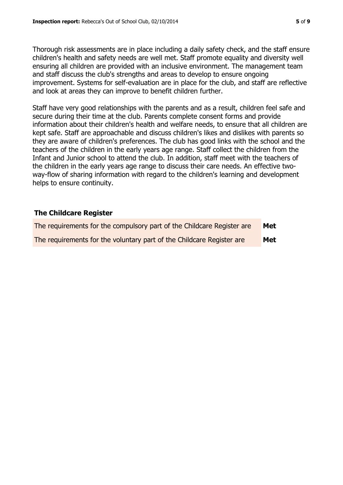Thorough risk assessments are in place including a daily safety check, and the staff ensure children's health and safety needs are well met. Staff promote equality and diversity well ensuring all children are provided with an inclusive environment. The management team and staff discuss the club's strengths and areas to develop to ensure ongoing improvement. Systems for self-evaluation are in place for the club, and staff are reflective and look at areas they can improve to benefit children further.

Staff have very good relationships with the parents and as a result, children feel safe and secure during their time at the club. Parents complete consent forms and provide information about their children's health and welfare needs, to ensure that all children are kept safe. Staff are approachable and discuss children's likes and dislikes with parents so they are aware of children's preferences. The club has good links with the school and the teachers of the children in the early years age range. Staff collect the children from the Infant and Junior school to attend the club. In addition, staff meet with the teachers of the children in the early years age range to discuss their care needs. An effective twoway-flow of sharing information with regard to the children's learning and development helps to ensure continuity.

# **The Childcare Register**

| The requirements for the compulsory part of the Childcare Register are | Met |
|------------------------------------------------------------------------|-----|
| The requirements for the voluntary part of the Childcare Register are  | Met |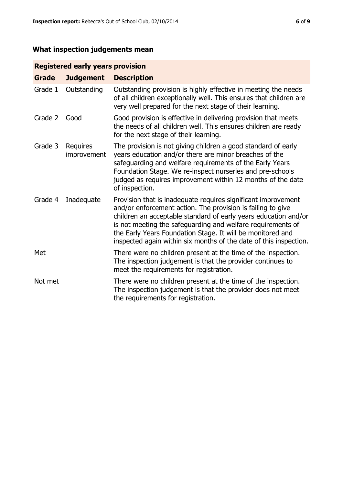# **What inspection judgements mean**

# **Registered early years provision**

| <b>Grade</b> | <b>Judgement</b>               | <b>Description</b>                                                                                                                                                                                                                                                                                                                                                                                |
|--------------|--------------------------------|---------------------------------------------------------------------------------------------------------------------------------------------------------------------------------------------------------------------------------------------------------------------------------------------------------------------------------------------------------------------------------------------------|
| Grade 1      | Outstanding                    | Outstanding provision is highly effective in meeting the needs<br>of all children exceptionally well. This ensures that children are<br>very well prepared for the next stage of their learning.                                                                                                                                                                                                  |
| Grade 2      | Good                           | Good provision is effective in delivering provision that meets<br>the needs of all children well. This ensures children are ready<br>for the next stage of their learning.                                                                                                                                                                                                                        |
| Grade 3      | <b>Requires</b><br>improvement | The provision is not giving children a good standard of early<br>years education and/or there are minor breaches of the<br>safeguarding and welfare requirements of the Early Years<br>Foundation Stage. We re-inspect nurseries and pre-schools<br>judged as requires improvement within 12 months of the date<br>of inspection.                                                                 |
| Grade 4      | Inadequate                     | Provision that is inadequate requires significant improvement<br>and/or enforcement action. The provision is failing to give<br>children an acceptable standard of early years education and/or<br>is not meeting the safeguarding and welfare requirements of<br>the Early Years Foundation Stage. It will be monitored and<br>inspected again within six months of the date of this inspection. |
| Met          |                                | There were no children present at the time of the inspection.<br>The inspection judgement is that the provider continues to<br>meet the requirements for registration.                                                                                                                                                                                                                            |
| Not met      |                                | There were no children present at the time of the inspection.<br>The inspection judgement is that the provider does not meet<br>the requirements for registration.                                                                                                                                                                                                                                |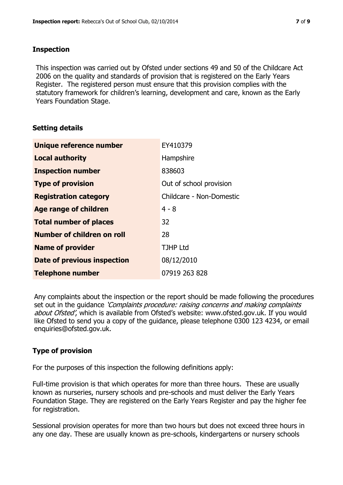# **Inspection**

This inspection was carried out by Ofsted under sections 49 and 50 of the Childcare Act 2006 on the quality and standards of provision that is registered on the Early Years Register. The registered person must ensure that this provision complies with the statutory framework for children's learning, development and care, known as the Early Years Foundation Stage.

# **Setting details**

| Unique reference number       | EY410379                 |
|-------------------------------|--------------------------|
| <b>Local authority</b>        | Hampshire                |
| <b>Inspection number</b>      | 838603                   |
| <b>Type of provision</b>      | Out of school provision  |
| <b>Registration category</b>  | Childcare - Non-Domestic |
| <b>Age range of children</b>  | $4 - 8$                  |
| <b>Total number of places</b> | 32                       |
| Number of children on roll    | 28                       |
| <b>Name of provider</b>       | <b>TJHP Ltd</b>          |
| Date of previous inspection   | 08/12/2010               |
| <b>Telephone number</b>       | 07919 263 828            |

Any complaints about the inspection or the report should be made following the procedures set out in the guidance *'Complaints procedure: raising concerns and making complaints* about Ofsted', which is available from Ofsted's website: www.ofsted.gov.uk. If you would like Ofsted to send you a copy of the guidance, please telephone 0300 123 4234, or email enquiries@ofsted.gov.uk.

# **Type of provision**

For the purposes of this inspection the following definitions apply:

Full-time provision is that which operates for more than three hours. These are usually known as nurseries, nursery schools and pre-schools and must deliver the Early Years Foundation Stage. They are registered on the Early Years Register and pay the higher fee for registration.

Sessional provision operates for more than two hours but does not exceed three hours in any one day. These are usually known as pre-schools, kindergartens or nursery schools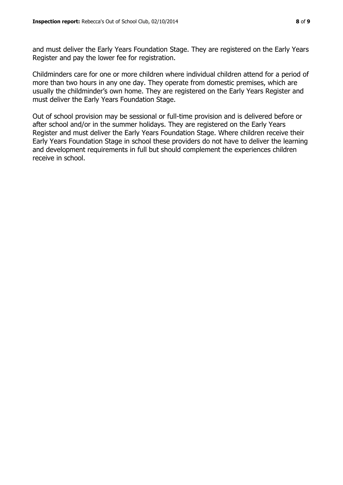and must deliver the Early Years Foundation Stage. They are registered on the Early Years Register and pay the lower fee for registration.

Childminders care for one or more children where individual children attend for a period of more than two hours in any one day. They operate from domestic premises, which are usually the childminder's own home. They are registered on the Early Years Register and must deliver the Early Years Foundation Stage.

Out of school provision may be sessional or full-time provision and is delivered before or after school and/or in the summer holidays. They are registered on the Early Years Register and must deliver the Early Years Foundation Stage. Where children receive their Early Years Foundation Stage in school these providers do not have to deliver the learning and development requirements in full but should complement the experiences children receive in school.